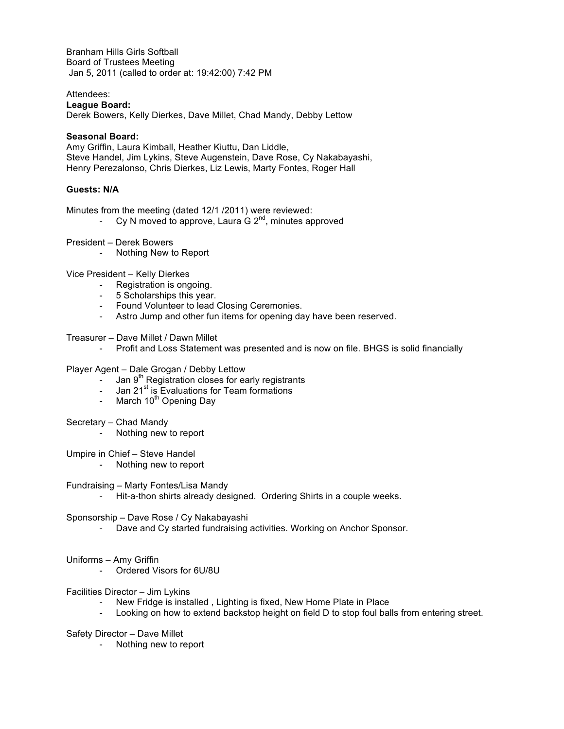Branham Hills Girls Softball Board of Trustees Meeting Jan 5, 2011 (called to order at: 19:42:00) 7:42 PM

## Attendees:

#### **League Board:**

Derek Bowers, Kelly Dierkes, Dave Millet, Chad Mandy, Debby Lettow

#### **Seasonal Board:**

Amy Griffin, Laura Kimball, Heather Kiuttu, Dan Liddle, Steve Handel, Jim Lykins, Steve Augenstein, Dave Rose, Cy Nakabayashi, Henry Perezalonso, Chris Dierkes, Liz Lewis, Marty Fontes, Roger Hall

## **Guests: N/A**

Minutes from the meeting (dated 12/1 /2011) were reviewed:

- Cy N moved to approve, Laura G  $2^{nd}$ , minutes approved
- President Derek Bowers
	- Nothing New to Report

Vice President – Kelly Dierkes

- Registration is ongoing.
- 5 Scholarships this year.
- Found Volunteer to lead Closing Ceremonies.
- Astro Jump and other fun items for opening day have been reserved.
- Treasurer Dave Millet / Dawn Millet
	- Profit and Loss Statement was presented and is now on file. BHGS is solid financially

## Player Agent – Dale Grogan / Debby Lettow

- Jan  $9<sup>th</sup>$  Registration closes for early registrants
- Jan  $21<sup>st</sup>$  is Evaluations for Team formations
- March  $10^{th}$  Opening Day

# Secretary – Chad Mandy

Nothing new to report

## Umpire in Chief – Steve Handel

- Nothing new to report

## Fundraising – Marty Fontes/Lisa Mandy

- Hit-a-thon shirts already designed. Ordering Shirts in a couple weeks.

#### Sponsorship – Dave Rose / Cy Nakabayashi

- Dave and Cy started fundraising activities. Working on Anchor Sponsor.

## Uniforms – Amy Griffin

- Ordered Visors for 6U/8U

# Facilities Director – Jim Lykins

- New Fridge is installed , Lighting is fixed, New Home Plate in Place
- Looking on how to extend backstop height on field D to stop foul balls from entering street.

## Safety Director – Dave Millet

Nothing new to report